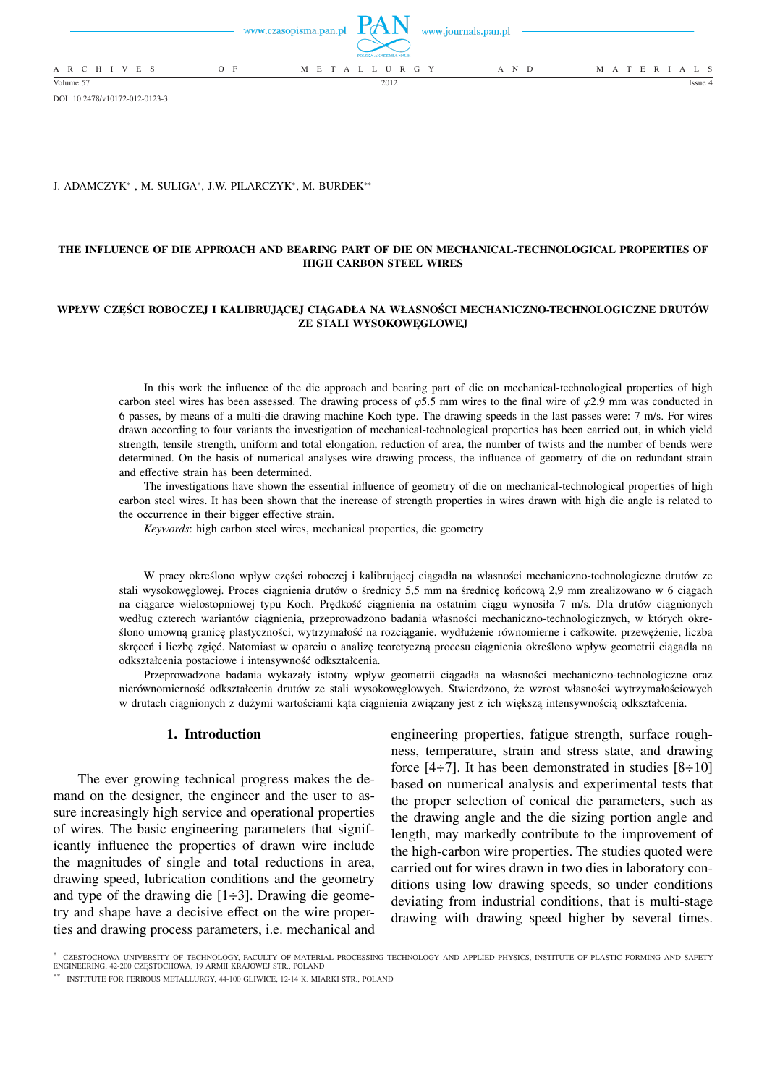|                 |       |                     | POLSKA AKADEMIA NAUK | www.czasopisma.pan.pl $PAN$ www.journals.pan.pl |                   |  |
|-----------------|-------|---------------------|----------------------|-------------------------------------------------|-------------------|--|
| A R C H I V E S | $O$ F | M E T A L L U R G Y |                      | A N D                                           | M A T E R I A L S |  |
| Volume 57       |       |                     | 2012                 |                                                 | Issue 4           |  |

DOI: 10.2478/v10172-012-0123-3

### J. ADAMCZYK<sup>∗</sup> , M. SULIGA<sup>∗</sup> , J.W. PILARCZYK<sup>∗</sup> , M. BURDEK∗∗

## **THE INFLUENCE OF DIE APPROACH AND BEARING PART OF DIE ON MECHANICAL-TECHNOLOGICAL PROPERTIES OF HIGH CARBON STEEL WIRES**

### **WPŁYW CZĘŚCI ROBOCZEJ I KALIBRUJĄCEJ CIĄGADŁA NA WŁASNOŚCI MECHANICZNO-TECHNOLOGICZNE DRUTÓW ZE STALI WYSOKOWĘGLOWEJ**

In this work the influence of the die approach and bearing part of die on mechanical-technological properties of high carbon steel wires has been assessed. The drawing process of  $\varphi$ 5.5 mm wires to the final wire of  $\varphi$ 2.9 mm was conducted in 6 passes, by means of a multi-die drawing machine Koch type. The drawing speeds in the last passes were: 7 m/s. For wires drawn according to four variants the investigation of mechanical-technological properties has been carried out, in which yield strength, tensile strength, uniform and total elongation, reduction of area, the number of twists and the number of bends were determined. On the basis of numerical analyses wire drawing process, the influence of geometry of die on redundant strain and effective strain has been determined.

The investigations have shown the essential influence of geometry of die on mechanical-technological properties of high carbon steel wires. It has been shown that the increase of strength properties in wires drawn with high die angle is related to the occurrence in their bigger effective strain.

*Keywords*: high carbon steel wires, mechanical properties, die geometry

W pracy określono wpływ części roboczej i kalibrującej ciągadła na własności mechaniczno-technologiczne drutów ze stali wysokowęglowej. Proces ciągnienia drutów o średnicy 5,5 mm na średnicę końcową 2,9 mm zrealizowano w 6 ciągach na ciągarce wielostopniowej typu Koch. Prędkość ciągnienia na ostatnim ciągu wynosiła 7 m/s. Dla drutów ciągnionych według czterech wariantów ciągnienia, przeprowadzono badania własności mechaniczno-technologicznych, w których określono umowną granicę plastyczności, wytrzymałość na rozciąganie, wydłużenie równomierne i całkowite, przewężenie, liczba skręceń i liczbę zgięć. Natomiast w oparciu o analizę teoretyczną procesu ciągnienia określono wpływ geometrii ciągadła na odkształcenia postaciowe i intensywność odkształcenia.

Przeprowadzone badania wykazały istotny wpływ geometrii ciągadła na własności mechaniczno-technologiczne oraz nierównomierność odkształcenia drutów ze stali wysokowęglowych. Stwierdzono, że wzrost własności wytrzymałościowych w drutach ciągnionych z dużymi wartościami kąta ciągnienia związany jest z ich większą intensywnością odkształcenia.

### **1. Introduction**

The ever growing technical progress makes the demand on the designer, the engineer and the user to assure increasingly high service and operational properties of wires. The basic engineering parameters that significantly influence the properties of drawn wire include the magnitudes of single and total reductions in area, drawing speed, lubrication conditions and the geometry and type of the drawing die  $[1\div 3]$ . Drawing die geometry and shape have a decisive effect on the wire properties and drawing process parameters, i.e. mechanical and

engineering properties, fatigue strength, surface roughness, temperature, strain and stress state, and drawing force  $[4\div 7]$ . It has been demonstrated in studies  $[8\div 10]$ based on numerical analysis and experimental tests that the proper selection of conical die parameters, such as the drawing angle and the die sizing portion angle and length, may markedly contribute to the improvement of the high-carbon wire properties. The studies quoted were carried out for wires drawn in two dies in laboratory conditions using low drawing speeds, so under conditions deviating from industrial conditions, that is multi-stage drawing with drawing speed higher by several times.

<sup>\*</sup> CZESTOCHOWA UNIVERSITY OF TECHNOLOGY, FACULTY OF MATERIAL PROCESSING TECHNOLOGY AND APPLIED PHYSICS, INSTITUTE OF PLASTIC FORMING AND SAFETY<br>ENGINEERING, 42-200 CZĘSTOCHOWA, 19 ARMII KRAJOWEJ STR., POLAND

<sup>∗∗</sup> INSTITUTE FOR FERROUS METALLURGY, 44-100 GLIWICE, 12-14 K. MIARKI STR., POLAND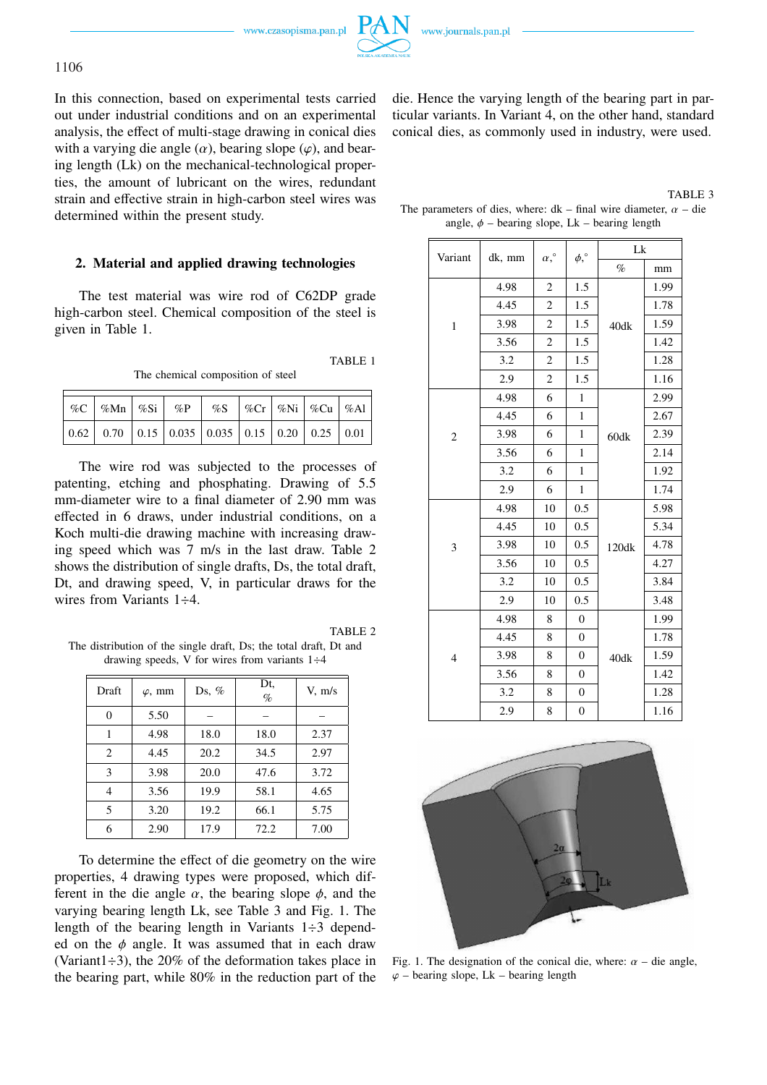www.czasopisma.pan.pl



In this connection, based on experimental tests carried out under industrial conditions and on an experimental analysis, the effect of multi-stage drawing in conical dies with a varying die angle  $(\alpha)$ , bearing slope  $(\varphi)$ , and bearing length (Lk) on the mechanical-technological properties, the amount of lubricant on the wires, redundant strain and effective strain in high-carbon steel wires was determined within the present study.

## **2. Material and applied drawing technologies**

The test material was wire rod of C62DP grade high-carbon steel. Chemical composition of the steel is given in Table 1.

The chemical composition of steel

|  |  |  |  |  | $\left  \begin{array}{c} \n\% \subset \left  \begin{array}{c} \n\% \in \mathbb{N} \n\end{array} \right  \begin{array}{c} \n\% \in \mathbb{N} \n\end{array} \right  \begin{array}{c} \n\% \in \mathbb{N} \n\end{array} \begin{array}{c} \n\% \in \mathbb{N} \n\end{array} \begin{array}{c} \n\% \in \mathbb{N} \n\end{array} \begin{array}{c} \n\% \in \mathbb{N} \n\end{array} \begin{array}{c} \n\% \in \mathbb{N} \n\end{array} \begin{array}{c} \n\% \in$ |  |  |  |
|--|--|--|--|--|--------------------------------------------------------------------------------------------------------------------------------------------------------------------------------------------------------------------------------------------------------------------------------------------------------------------------------------------------------------------------------------------------------------------------------------------------------------|--|--|--|
|  |  |  |  |  | $\vert$ 0.62 $\vert$ 0.70 $\vert$ 0.15 $\vert$ 0.035 $\vert$ 0.035 $\vert$ 0.15 $\vert$ 0.20 $\vert$ 0.25 $\vert$ 0.01                                                                                                                                                                                                                                                                                                                                       |  |  |  |

The wire rod was subjected to the processes of patenting, etching and phosphating. Drawing of 5.5 mm-diameter wire to a final diameter of 2.90 mm was effected in 6 draws, under industrial conditions, on a Koch multi-die drawing machine with increasing drawing speed which was 7 m/s in the last draw. Table 2 shows the distribution of single drafts, Ds, the total draft, Dt, and drawing speed, V, in particular draws for the wires from Variants 1÷4.

TABLE 2

TABLE 1

The distribution of the single draft, Ds; the total draft, Dt and drawing speeds, V for wires from variants  $1\div 4$ 

| Draft    | $\varphi$ , mm | Ds, $%$ | Dt,<br>$\%$ | V, m/s |
|----------|----------------|---------|-------------|--------|
| $\theta$ | 5.50           |         |             |        |
| 1        | 4.98           | 18.0    | 18.0        | 2.37   |
| 2        | 4.45           | 20.2    | 34.5        | 2.97   |
| 3        | 3.98           | 20.0    | 47.6        | 3.72   |
| 4        | 3.56           | 19.9    | 58.1        | 4.65   |
| 5        | 3.20           | 19.2    | 66.1        | 5.75   |
| 6        | 2.90           | 17.9    | 72.2        | 7.00   |

To determine the effect of die geometry on the wire properties, 4 drawing types were proposed, which different in the die angle  $\alpha$ , the bearing slope  $\phi$ , and the varying bearing length Lk, see Table 3 and Fig. 1. The length of the bearing length in Variants  $1\div 3$  depended on the  $\phi$  angle. It was assumed that in each draw (Variant1 $\div$ 3), the 20% of the deformation takes place in the bearing part, while 80% in the reduction part of the die. Hence the varying length of the bearing part in particular variants. In Variant 4, on the other hand, standard conical dies, as commonly used in industry, were used.

| TABLE 3                                                                   |
|---------------------------------------------------------------------------|
| The parameters of dies, where: $dk$ – final wire diameter, $\alpha$ – die |
| angle, $\phi$ – bearing slope, Lk – bearing length                        |

| Variant        | dk, mm | $\alpha,^{\circ}$ | $\phi,^{\circ}$  | Lk    |      |  |
|----------------|--------|-------------------|------------------|-------|------|--|
|                |        |                   |                  | $\%$  | mm   |  |
|                | 4.98   | 2                 | 1.5              |       | 1.99 |  |
|                | 4.45   | $\overline{c}$    | 1.5              |       | 1.78 |  |
| $\mathbf{1}$   | 3.98   | $\overline{c}$    | 1.5              | 40dk  | 1.59 |  |
|                | 3.56   | $\overline{c}$    | 1.5              |       | 1.42 |  |
|                | 3.2    | 2                 | 1.5              |       | 1.28 |  |
|                | 2.9    | $\overline{c}$    | 1.5              |       | 1.16 |  |
|                | 4.98   | 6                 | 1                |       | 2.99 |  |
|                | 4.45   | 6                 | $\mathbf{1}$     |       | 2.67 |  |
| 2              | 3.98   | 6                 | 1                | 60dk  | 2.39 |  |
|                | 3.56   | 6                 | $\mathbf{1}$     |       | 2.14 |  |
|                | 3.2    | 6                 | $\mathbf{1}$     |       | 1.92 |  |
|                | 2.9    | 6                 | $\mathbf{1}$     |       | 1.74 |  |
|                | 4.98   | 10                | 0.5              |       | 5.98 |  |
|                | 4.45   | 10                | 0.5              |       | 5.34 |  |
| 3              | 3.98   | 10                | 0.5              | 120dk | 4.78 |  |
|                | 3.56   | 10                | 0.5              |       | 4.27 |  |
|                | 3.2    | 10                | 0.5              |       | 3.84 |  |
|                | 2.9    | 10                | 0.5              |       | 3.48 |  |
|                | 4.98   | 8                 | $\boldsymbol{0}$ |       | 1.99 |  |
|                | 4.45   | 8                 | $\overline{0}$   | 40dk  | 1.78 |  |
| $\overline{4}$ | 3.98   | 8                 | $\boldsymbol{0}$ |       | 1.59 |  |
|                | 3.56   | 8                 | $\overline{0}$   |       | 1.42 |  |
|                | 3.2    | 8                 | $\boldsymbol{0}$ |       | 1.28 |  |
|                | 2.9    | 8                 | $\mathbf{0}$     |       | 1.16 |  |



Fig. 1. The designation of the conical die, where:  $\alpha$  – die angle,  $\varphi$  – bearing slope, Lk – bearing length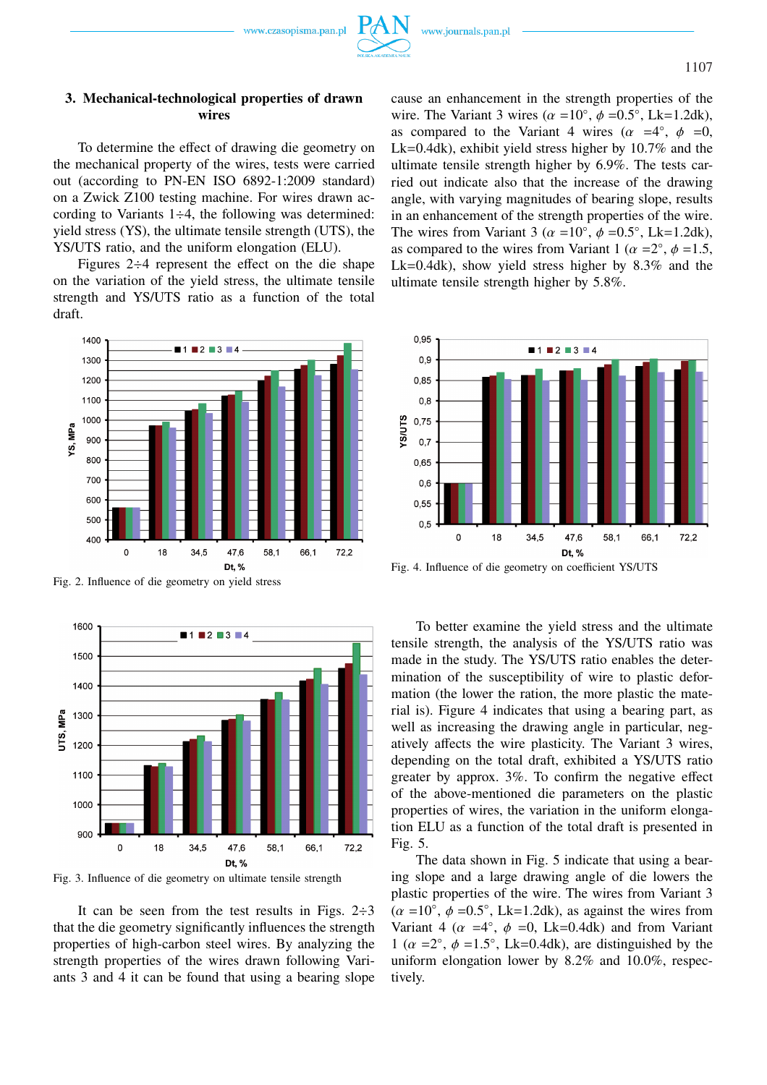## **3. Mechanical-technological properties of drawn wires**

To determine the effect of drawing die geometry on the mechanical property of the wires, tests were carried out (according to PN-EN ISO 6892-1:2009 standard) on a Zwick Z100 testing machine. For wires drawn according to Variants  $1\div 4$ , the following was determined: yield stress (YS), the ultimate tensile strength (UTS), the YS/UTS ratio, and the uniform elongation (ELU).

Figures 2÷4 represent the effect on the die shape on the variation of the yield stress, the ultimate tensile strength and YS/UTS ratio as a function of the total draft.



Fig. 2. Influence of die geometry on yield stress



Fig. 3. Influence of die geometry on ultimate tensile strength

It can be seen from the test results in Figs.  $2\div 3$ that the die geometry significantly influences the strength properties of high-carbon steel wires. By analyzing the strength properties of the wires drawn following Variants 3 and 4 it can be found that using a bearing slope cause an enhancement in the strength properties of the wire. The Variant 3 wires ( $\alpha = 10^{\circ}$ ,  $\phi = 0.5^{\circ}$ , Lk=1.2dk), as compared to the Variant 4 wires  $(\alpha = 4^{\circ}, \phi = 0,$ Lk=0.4dk), exhibit yield stress higher by 10.7% and the ultimate tensile strength higher by 6.9%. The tests carried out indicate also that the increase of the drawing angle, with varying magnitudes of bearing slope, results in an enhancement of the strength properties of the wire. The wires from Variant 3 ( $\alpha = 10^{\circ}$ ,  $\phi = 0.5^{\circ}$ , Lk=1.2dk), as compared to the wires from Variant 1 ( $\alpha = 2^{\circ}$ ,  $\phi = 1.5$ , Lk=0.4dk), show yield stress higher by 8.3% and the ultimate tensile strength higher by 5.8%.



Fig. 4. Influence of die geometry on coefficient YS/UTS

To better examine the yield stress and the ultimate tensile strength, the analysis of the YS/UTS ratio was made in the study. The YS/UTS ratio enables the determination of the susceptibility of wire to plastic deformation (the lower the ration, the more plastic the material is). Figure 4 indicates that using a bearing part, as well as increasing the drawing angle in particular, negatively affects the wire plasticity. The Variant 3 wires, depending on the total draft, exhibited a YS/UTS ratio greater by approx. 3%. To confirm the negative effect of the above-mentioned die parameters on the plastic properties of wires, the variation in the uniform elongation ELU as a function of the total draft is presented in Fig. 5.

The data shown in Fig. 5 indicate that using a bearing slope and a large drawing angle of die lowers the plastic properties of the wire. The wires from Variant 3  $(\alpha = 10^{\circ}, \phi = 0.5^{\circ}, \text{Lk=1.2dk})$ , as against the wires from Variant 4 ( $\alpha$  =4°,  $\phi$  =0, Lk=0.4dk) and from Variant 1 ( $\alpha$  =2°,  $\phi$  =1.5°, Lk=0.4dk), are distinguished by the uniform elongation lower by 8.2% and 10.0%, respectively.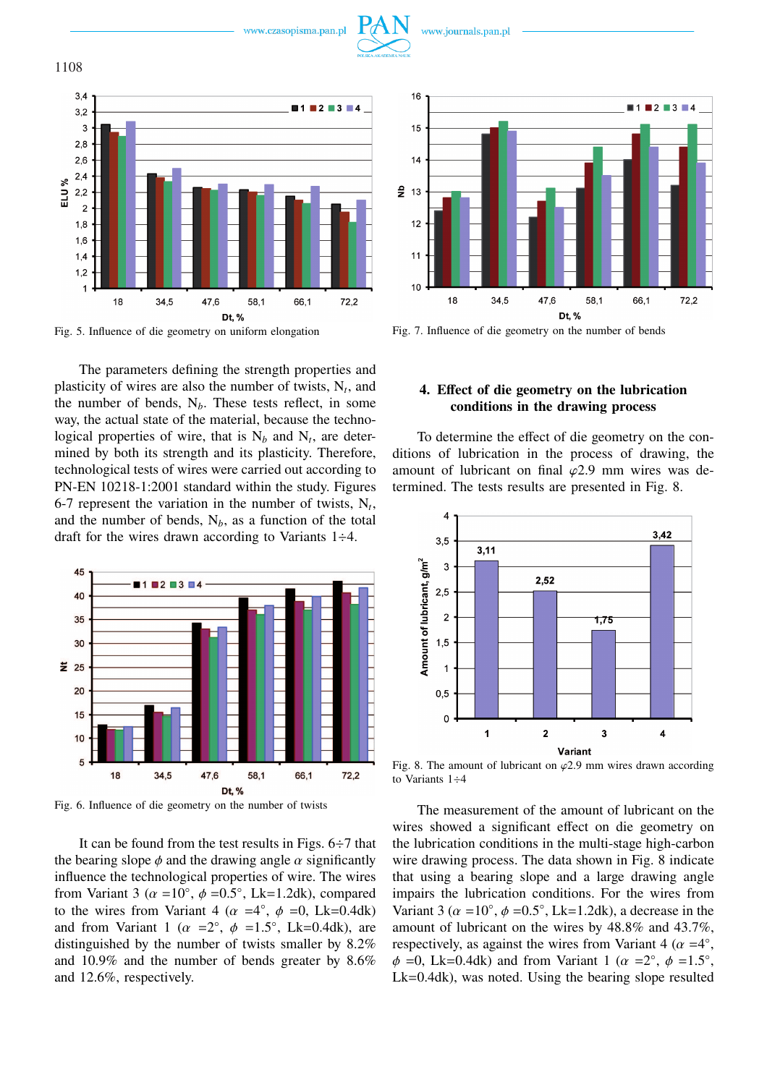



Fig. 5. Influence of die geometry on uniform elongation

The parameters defining the strength properties and plasticity of wires are also the number of twists,  $N_t$ , and the number of bends,  $N_b$ . These tests reflect, in some way, the actual state of the material, because the technological properties of wire, that is  $N_b$  and  $N_t$ , are determined by both its strength and its plasticity. Therefore, technological tests of wires were carried out according to PN-EN 10218-1:2001 standard within the study. Figures 6-7 represent the variation in the number of twists,  $N_t$ , and the number of bends,  $N_b$ , as a function of the total draft for the wires drawn according to Variants 1÷4.



Fig. 6. Influence of die geometry on the number of twists

It can be found from the test results in Figs. 6÷7 that the bearing slope  $\phi$  and the drawing angle  $\alpha$  significantly influence the technological properties of wire. The wires from Variant 3 ( $\alpha$  =10°,  $\phi$  =0.5°, Lk=1.2dk), compared to the wires from Variant 4 ( $\alpha = 4^{\circ}$ ,  $\phi = 0$ , Lk=0.4dk) and from Variant 1 ( $\alpha$  = 2°,  $\phi$  = 1.5°, Lk=0.4dk), are distinguished by the number of twists smaller by 8.2% and 10.9% and the number of bends greater by 8.6% and 12.6%, respectively.



Fig. 7. Influence of die geometry on the number of bends

# **4. Effect of die geometry on the lubrication conditions in the drawing process**

To determine the effect of die geometry on the conditions of lubrication in the process of drawing, the amount of lubricant on final  $\varphi$ 2.9 mm wires was determined. The tests results are presented in Fig. 8.



Fig. 8. The amount of lubricant on  $\varphi$ 2.9 mm wires drawn according to Variants 1÷4

The measurement of the amount of lubricant on the wires showed a significant effect on die geometry on the lubrication conditions in the multi-stage high-carbon wire drawing process. The data shown in Fig. 8 indicate that using a bearing slope and a large drawing angle impairs the lubrication conditions. For the wires from Variant 3 ( $\alpha$  =10°,  $\phi$  =0.5°, Lk=1.2dk), a decrease in the amount of lubricant on the wires by 48.8% and 43.7%, respectively, as against the wires from Variant 4 ( $\alpha = 4^{\circ}$ ,  $\phi = 0$ , Lk=0.4dk) and from Variant 1 ( $\alpha = 2^{\circ}$ ,  $\phi = 1.5^{\circ}$ , Lk=0.4dk), was noted. Using the bearing slope resulted

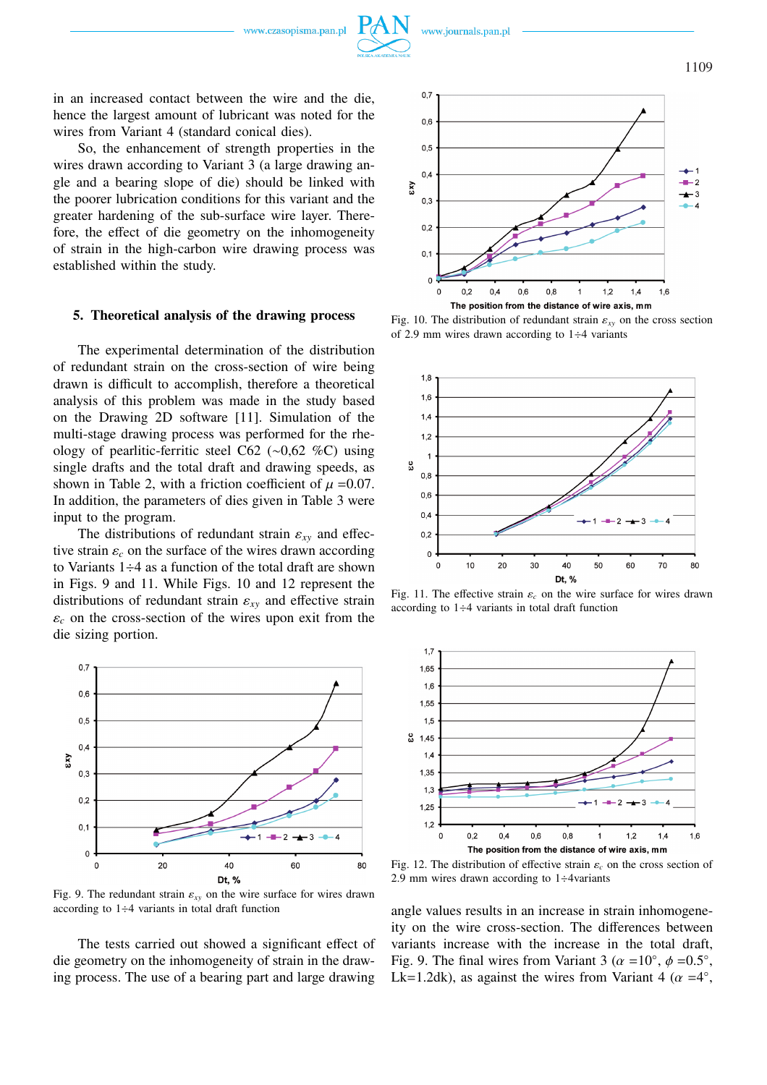in an increased contact between the wire and the die, hence the largest amount of lubricant was noted for the wires from Variant 4 (standard conical dies).

So, the enhancement of strength properties in the wires drawn according to Variant 3 (a large drawing angle and a bearing slope of die) should be linked with the poorer lubrication conditions for this variant and the greater hardening of the sub-surface wire layer. Therefore, the effect of die geometry on the inhomogeneity of strain in the high-carbon wire drawing process was established within the study.

#### **5. Theoretical analysis of the drawing process**

The experimental determination of the distribution of redundant strain on the cross-section of wire being drawn is difficult to accomplish, therefore a theoretical analysis of this problem was made in the study based on the Drawing 2D software [11]. Simulation of the multi-stage drawing process was performed for the rheology of pearlitic-ferritic steel C62 (∼0,62 %C) using single drafts and the total draft and drawing speeds, as shown in Table 2, with a friction coefficient of  $\mu = 0.07$ . In addition, the parameters of dies given in Table 3 were input to the program.

The distributions of redundant strain  $\varepsilon_{xy}$  and effective strain  $\varepsilon_c$  on the surface of the wires drawn according to Variants 1÷4 as a function of the total draft are shown in Figs. 9 and 11. While Figs. 10 and 12 represent the distributions of redundant strain  $\varepsilon_{xy}$  and effective strain  $\varepsilon_c$  on the cross-section of the wires upon exit from the die sizing portion.



Fig. 9. The redundant strain  $\varepsilon_{xy}$  on the wire surface for wires drawn according to  $1\div 4$  variants in total draft function

The tests carried out showed a significant effect of die geometry on the inhomogeneity of strain in the drawing process. The use of a bearing part and large drawing



Fig. 10. The distribution of redundant strain  $\varepsilon_{xy}$  on the cross section of 2.9 mm wires drawn according to  $1\div 4$  variants



Fig. 11. The effective strain  $\varepsilon_c$  on the wire surface for wires drawn according to  $1\div 4$  variants in total draft function



Fig. 12. The distribution of effective strain  $\varepsilon_c$  on the cross section of 2.9 mm wires drawn according to  $1\div 4$ variants

angle values results in an increase in strain inhomogeneity on the wire cross-section. The differences between variants increase with the increase in the total draft, Fig. 9. The final wires from Variant 3 ( $\alpha = 10^{\circ}$ ,  $\phi = 0.5^{\circ}$ , Lk=1.2dk), as against the wires from Variant 4 ( $\alpha = 4^{\circ}$ ,